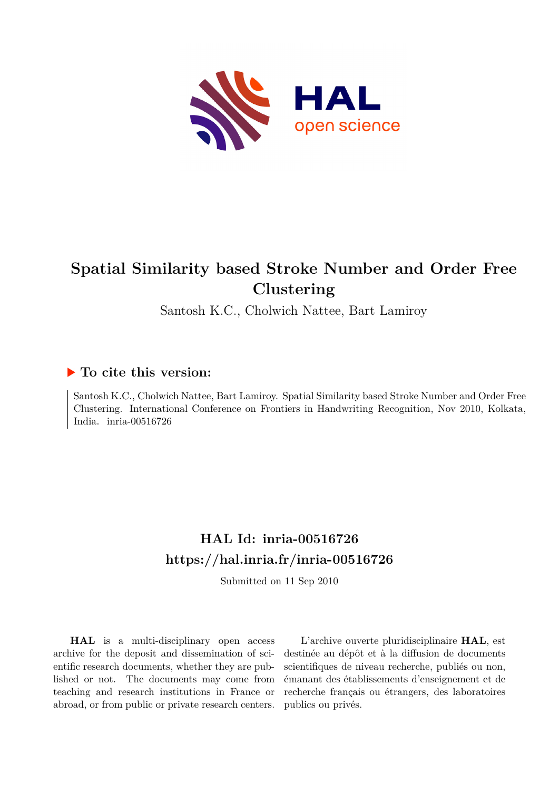

# **Spatial Similarity based Stroke Number and Order Free Clustering**

Santosh K.C., Cholwich Nattee, Bart Lamiroy

### **To cite this version:**

Santosh K.C., Cholwich Nattee, Bart Lamiroy. Spatial Similarity based Stroke Number and Order Free Clustering. International Conference on Frontiers in Handwriting Recognition, Nov 2010, Kolkata, India. inria-00516726

## **HAL Id: inria-00516726 <https://hal.inria.fr/inria-00516726>**

Submitted on 11 Sep 2010

**HAL** is a multi-disciplinary open access archive for the deposit and dissemination of scientific research documents, whether they are published or not. The documents may come from teaching and research institutions in France or abroad, or from public or private research centers.

L'archive ouverte pluridisciplinaire **HAL**, est destinée au dépôt et à la diffusion de documents scientifiques de niveau recherche, publiés ou non, émanant des établissements d'enseignement et de recherche français ou étrangers, des laboratoires publics ou privés.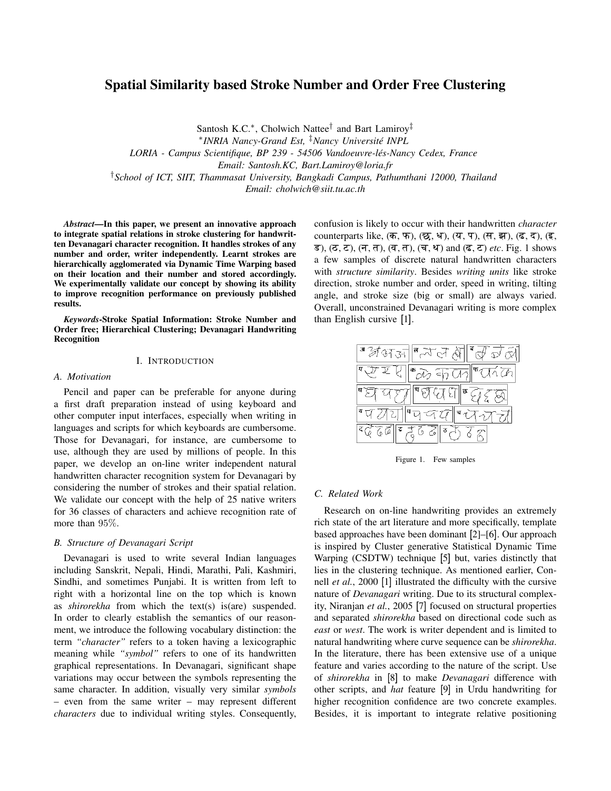### Spatial Similarity based Stroke Number and Order Free Clustering

Santosh K.C.<sup>∗</sup>, Cholwich Nattee<sup>†</sup> and Bart Lamiroy<sup>‡</sup> ∗ *INRIA Nancy-Grand Est,* ‡*Nancy Universite INPL ´ LORIA - Campus Scientifique, BP 239 - 54506 Vandoeuvre-les-Nancy Cedex, France ´ Email: Santosh.KC, Bart.Lamiroy@loria.fr* †*School of ICT, SIIT, Thammasat University, Bangkadi Campus, Pathumthani 12000, Thailand Email: cholwich@siit.tu.ac.th*

*Abstract*—In this paper, we present an innovative approach to integrate spatial relations in stroke clustering for handwritten Devanagari character recognition. It handles strokes of any number and order, writer independently. Learnt strokes are hierarchically agglomerated via Dynamic Time Warping based on their location and their number and stored accordingly. We experimentally validate our concept by showing its ability to improve recognition performance on previously published results.

*Keywords*-Stroke Spatial Information: Stroke Number and Order free; Hierarchical Clustering; Devanagari Handwriting Recognition

#### I. INTRODUCTION

#### *A. Motivation*

Pencil and paper can be preferable for anyone during a first draft preparation instead of using keyboard and other computer input interfaces, especially when writing in languages and scripts for which keyboards are cumbersome. Those for Devanagari, for instance, are cumbersome to use, although they are used by millions of people. In this paper, we develop an on-line writer independent natural handwritten character recognition system for Devanagari by considering the number of strokes and their spatial relation. We validate our concept with the help of 25 native writers for 36 classes of characters and achieve recognition rate of more than 95%.

#### *B. Structure of Devanagari Script*

Devanagari is used to write several Indian languages including Sanskrit, Nepali, Hindi, Marathi, Pali, Kashmiri, Sindhi, and sometimes Punjabi. It is written from left to right with a horizontal line on the top which is known as *shirorekha* from which the text(s) is(are) suspended. In order to clearly establish the semantics of our reasonment, we introduce the following vocabulary distinction: the term *"character"* refers to a token having a lexicographic meaning while *"symbol"* refers to one of its handwritten graphical representations. In Devanagari, significant shape variations may occur between the symbols representing the same character. In addition, visually very similar *symbols* – even from the same writer – may represent different *characters* due to individual writing styles. Consequently, confusion is likely to occur with their handwritten *character* counterparts like,  $($ क, फ),  $($ छ, ध),  $($ य, प),  $($ स, झ),  $($ ढ, द),  $($ इ, ड),  $(\sigma, \tau)$ ,  $(\tau, \tau)$ ,  $(\tau, \tau)$ ,  $(\tau, \tau)$ ,  $(\tau, \nu)$  and  $(\tau, \tau)$  *etc*. Fig. 1 shows a few samples of discrete natural handwritten characters with *structure similarity*. Besides *writing units* like stroke direction, stroke number and order, speed in writing, tilting angle, and stroke size (big or small) are always varied. Overall, unconstrained Devanagari writing is more complex than English cursive [1].



Figure 1. Few samples

#### *C. Related Work*

Research on on-line handwriting provides an extremely rich state of the art literature and more specifically, template based approaches have been dominant [2]–[6]. Our approach is inspired by Cluster generative Statistical Dynamic Time Warping (CSDTW) technique [5] but, varies distinctly that lies in the clustering technique. As mentioned earlier, Connell *et al.*, 2000 [1] illustrated the difficulty with the cursive nature of *Devanagari* writing. Due to its structural complexity, Niranjan *et al.*, 2005 [7] focused on structural properties and separated *shirorekha* based on directional code such as *east* or *west*. The work is writer dependent and is limited to natural handwriting where curve sequence can be *shirorekha*. In the literature, there has been extensive use of a unique feature and varies according to the nature of the script. Use of *shirorekha* in [8] to make *Devanagari* difference with other scripts, and *hat* feature [9] in Urdu handwriting for higher recognition confidence are two concrete examples. Besides, it is important to integrate relative positioning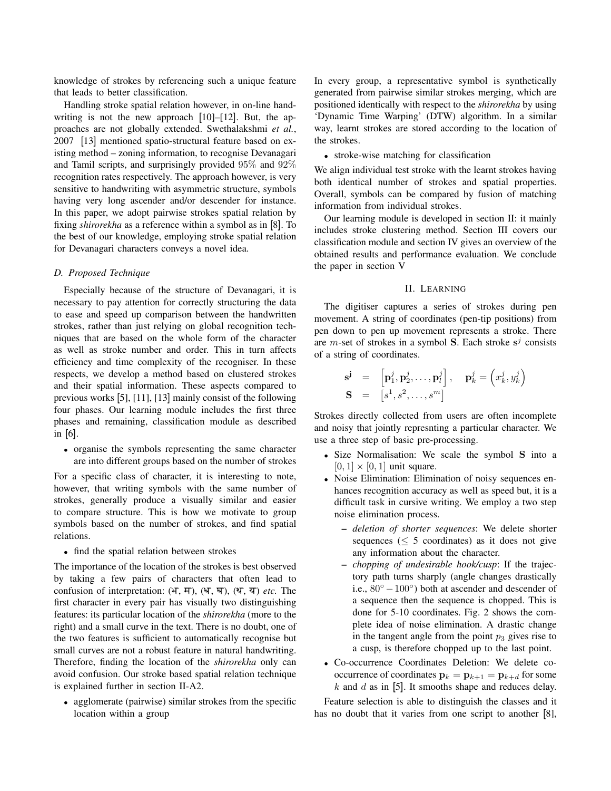knowledge of strokes by referencing such a unique feature that leads to better classification.

Handling stroke spatial relation however, in on-line handwriting is not the new approach [10]–[12]. But, the approaches are not globally extended. Swethalakshmi *et al.*, 2007 [13] mentioned spatio-structural feature based on existing method – zoning information, to recognise Devanagari and Tamil scripts, and surprisingly provided 95% and 92% recognition rates respectively. The approach however, is very sensitive to handwriting with asymmetric structure, symbols having very long ascender and/or descender for instance. In this paper, we adopt pairwise strokes spatial relation by fixing *shirorekha* as a reference within a symbol as in [8]. To the best of our knowledge, employing stroke spatial relation for Devanagari characters conveys a novel idea.

#### *D. Proposed Technique*

Especially because of the structure of Devanagari, it is necessary to pay attention for correctly structuring the data to ease and speed up comparison between the handwritten strokes, rather than just relying on global recognition techniques that are based on the whole form of the character as well as stroke number and order. This in turn affects efficiency and time complexity of the recogniser. In these respects, we develop a method based on clustered strokes and their spatial information. These aspects compared to previous works [5], [11], [13] mainly consist of the following four phases. Our learning module includes the first three phases and remaining, classification module as described in [6].

• organise the symbols representing the same character are into different groups based on the number of strokes

For a specific class of character, it is interesting to note, however, that writing symbols with the same number of strokes, generally produce a visually similar and easier to compare structure. This is how we motivate to group symbols based on the number of strokes, and find spatial relations.

• find the spatial relation between strokes

The importance of the location of the strokes is best observed by taking a few pairs of characters that often lead to confusion of interpretation:  $(H, H)$ ,  $(H, H)$ ,  $(\mathcal{I}, \mathcal{I})$  *etc.* The first character in every pair has visually two distinguishing features: its particular location of the *shirorekha* (more to the right) and a small curve in the text. There is no doubt, one of the two features is sufficient to automatically recognise but small curves are not a robust feature in natural handwriting. Therefore, finding the location of the *shirorekha* only can avoid confusion. Our stroke based spatial relation technique is explained further in section II-A2.

• agglomerate (pairwise) similar strokes from the specific location within a group

In every group, a representative symbol is synthetically generated from pairwise similar strokes merging, which are positioned identically with respect to the *shirorekha* by using 'Dynamic Time Warping' (DTW) algorithm. In a similar way, learnt strokes are stored according to the location of the strokes.

• stroke-wise matching for classification

We align individual test stroke with the learnt strokes having both identical number of strokes and spatial properties. Overall, symbols can be compared by fusion of matching information from individual strokes.

Our learning module is developed in section II: it mainly includes stroke clustering method. Section III covers our classification module and section IV gives an overview of the obtained results and performance evaluation. We conclude the paper in section V

#### II. LEARNING

The digitiser captures a series of strokes during pen movement. A string of coordinates (pen-tip positions) from pen down to pen up movement represents a stroke. There are *m*-set of strokes in a symbol **S**. Each stroke  $s^j$  consists of a string of coordinates.

$$
\mathbf{s}^{\mathbf{j}} = \begin{bmatrix} \mathbf{p}_1^j, \mathbf{p}_2^j, \dots, \mathbf{p}_l^j \end{bmatrix}, \quad \mathbf{p}_k^j = \begin{pmatrix} x_k^j, y_k^j \end{pmatrix}
$$
  

$$
\mathbf{S} = \begin{bmatrix} s^1, s^2, \dots, s^m \end{bmatrix}
$$

Strokes directly collected from users are often incomplete and noisy that jointly represnting a particular character. We use a three step of basic pre-processing.

- Size Normalisation: We scale the symbol S into a  $[0, 1] \times [0, 1]$  unit square.
- Noise Elimination: Elimination of noisy sequences enhances recognition accuracy as well as speed but, it is a difficult task in cursive writing. We employ a two step noise elimination process.
	- *deletion of shorter sequences*: We delete shorter sequences ( $\leq 5$  coordinates) as it does not give any information about the character.
	- *chopping of undesirable hook/cusp*: If the trajectory path turns sharply (angle changes drastically i.e.,  $80^\circ - 100^\circ$ ) both at ascender and descender of a sequence then the sequence is chopped. This is done for 5-10 coordinates. Fig. 2 shows the complete idea of noise elimination. A drastic change in the tangent angle from the point  $p_3$  gives rise to a cusp, is therefore chopped up to the last point.
- Co-occurrence Coordinates Deletion: We delete cooccurrence of coordinates  $\mathbf{p}_k = \mathbf{p}_{k+1} = \mathbf{p}_{k+d}$  for some  $k$  and  $d$  as in [5]. It smooths shape and reduces delay.

Feature selection is able to distinguish the classes and it has no doubt that it varies from one script to another [8],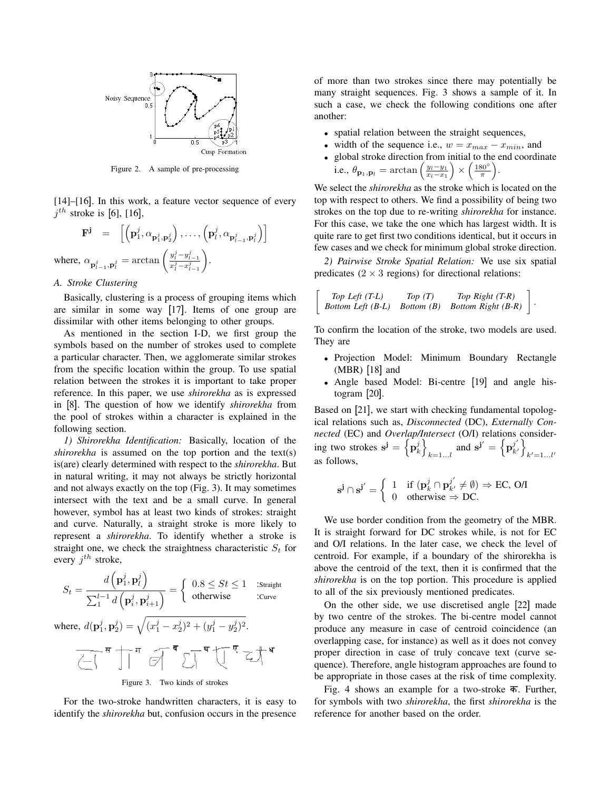

Figure 2. A sample of pre-processing

[14]–[16]. In this work, a feature vector sequence of every  $j^{th}$  stroke is [6], [16],

$$
\mathbf{F}^{\mathbf{j}} = \left[ \left( \mathbf{p}_1^j, \alpha_{\mathbf{p}_1^j, \mathbf{p}_2^j} \right), \dots, \left( \mathbf{p}_l^j, \alpha_{\mathbf{p}_{l-1}^j, \mathbf{p}_l^j} \right) \right]
$$
\nwhere,  $\alpha_{\mathbf{p}_{l-1}^j, \mathbf{p}_l^j} = \arctan\left(\frac{y_l^j - y_{l-1}^j}{x_l^j - x_{l-1}^j}\right)$ .

*A. Stroke Clustering*

Basically, clustering is a process of grouping items which are similar in some way [17]. Items of one group are dissimilar with other items belonging to other groups.

As mentioned in the section I-D, we first group the symbols based on the number of strokes used to complete a particular character. Then, we agglomerate similar strokes from the specific location within the group. To use spatial relation between the strokes it is important to take proper reference. In this paper, we use *shirorekha* as is expressed in [8]. The question of how we identify *shirorekha* from the pool of strokes within a character is explained in the following section.

*1) Shirorekha Identification:* Basically, location of the *shirorekha* is assumed on the top portion and the text(s) is(are) clearly determined with respect to the *shirorekha*. But in natural writing, it may not always be strictly horizontal and not always exactly on the top (Fig. 3). It may sometimes intersect with the text and be a small curve. In general however, symbol has at least two kinds of strokes: straight and curve. Naturally, a straight stroke is more likely to represent a *shirorekha*. To identify whether a stroke is straight one, we check the straightness characteristic  $S_t$  for every  $j^{th}$  stroke,

$$
S_t = \frac{d\left(\mathbf{p}_1^j, \mathbf{p}_l^j\right)}{\sum_{1}^{l-1} d\left(\mathbf{p}_i^j, \mathbf{p}_{i+1}^j\right)} = \begin{cases} 0.8 \le St \le 1 & \text{:Straight} \\ \text{otherwise} & \text{:Curve} \end{cases}
$$
  
where,  $d(\mathbf{p}_1^j, \mathbf{p}_2^j) = \sqrt{(x_1^j - x_2^j)^2 + (y_1^j - y_2^j)^2}$ .

Figure 3. Two kinds of strokes

For the two-stroke handwritten characters, it is easy to identify the *shirorekha* but, confusion occurs in the presence of more than two strokes since there may potentially be many straight sequences. Fig. 3 shows a sample of it. In such a case, we check the following conditions one after another:

- spatial relation between the straight sequences,
- width of the sequence i.e.,  $w = x_{max} x_{min}$ , and
- global stroke direction from initial to the end coordinate i.e.,  $\theta_{\mathbf{p}_1, \mathbf{p}_l} = \arctan\left(\frac{y_l - y_1}{x_l - x_1}\right) \times \left(\frac{180^{\circ}}{\pi}\right)$ .

We select the *shirorekha* as the stroke which is located on the top with respect to others. We find a possibility of being two strokes on the top due to re-writing *shirorekha* for instance. For this case, we take the one which has largest width. It is quite rare to get first two conditions identical, but it occurs in few cases and we check for minimum global stroke direction.

*2) Pairwise Stroke Spatial Relation:* We use six spatial predicates  $(2 \times 3$  regions) for directional relations:

.

*Top Left (T-L) Top (T) Top Right (T-R) Bottom Left (B-L) Bottom (B) Bottom Right (B-R)*

 $\lceil$ 

To confirm the location of the stroke, two models are used. They are

- Projection Model: Minimum Boundary Rectangle (MBR) [18] and
- Angle based Model: Bi-centre [19] and angle histogram [20].

Based on [21], we start with checking fundamental topological relations such as, *Disconnected* (DC), *Externally Connected* (EC) and *Overlap/Intersect* (O/I) relations considering two strokes  $\mathbf{s}^{\mathbf{j}} = \left\{ \mathbf{p}_{k}^{j} \right\}$ and  $\mathbf{s}^{\mathbf{j}'} = \left\{ \mathbf{p}_{k'}^{j'} \right\}$  $\begin{bmatrix} j' \\ k' \end{bmatrix}$  $k'=1...l'$ as follows,

$$
\mathbf{s}^{\mathbf{j}} \cap \mathbf{s}^{\mathbf{j}'} = \begin{cases} 1 & \text{if } (\mathbf{p}_k^j \cap \mathbf{p}_{k'}^{j'} \neq \emptyset) \Rightarrow \text{EC, O/I} \\ 0 & \text{otherwise} \Rightarrow \text{DC.} \end{cases}
$$

We use border condition from the geometry of the MBR. It is straight forward for DC strokes while, is not for EC and O/I relations. In the later case, we check the level of centroid. For example, if a boundary of the shirorekha is above the centroid of the text, then it is confirmed that the *shirorekha* is on the top portion. This procedure is applied to all of the six previously mentioned predicates.

On the other side, we use discretised angle [22] made by two centre of the strokes. The bi-centre model cannot produce any measure in case of centroid coincidence (an overlapping case, for instance) as well as it does not convey proper direction in case of truly concave text (curve sequence). Therefore, angle histogram approaches are found to be appropriate in those cases at the risk of time complexity.

Fig. 4 shows an example for a two-stroke  $\overline{\Phi}$ . Further, for symbols with two *shirorekha*, the first *shirorekha* is the reference for another based on the order.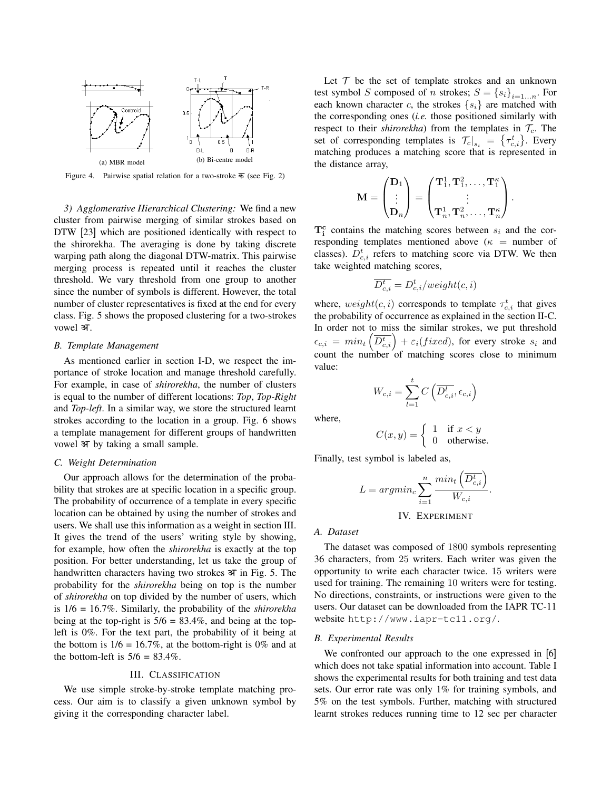

Figure 4. Pairwise spatial relation for a two-stroke  $\overline{\phi}$  (see Fig. 2)

*3) Agglomerative Hierarchical Clustering:* We find a new cluster from pairwise merging of similar strokes based on DTW [23] which are positioned identically with respect to the shirorekha. The averaging is done by taking discrete warping path along the diagonal DTW-matrix. This pairwise merging process is repeated until it reaches the cluster threshold. We vary threshold from one group to another since the number of symbols is different. However, the total number of cluster representatives is fixed at the end for every class. Fig. 5 shows the proposed clustering for a two-strokes vowel अ.

#### *B. Template Management*

As mentioned earlier in section I-D, we respect the importance of stroke location and manage threshold carefully. For example, in case of *shirorekha*, the number of clusters is equal to the number of different locations: *Top*, *Top-Right* and *Top-left*. In a similar way, we store the structured learnt strokes according to the location in a group. Fig. 6 shows a template management for different groups of handwritten vowel अ by taking a small sample.

#### *C. Weight Determination*

Our approach allows for the determination of the probability that strokes are at specific location in a specific group. The probability of occurrence of a template in every specific location can be obtained by using the number of strokes and users. We shall use this information as a weight in section III. It gives the trend of the users' writing style by showing, for example, how often the *shirorekha* is exactly at the top position. For better understanding, let us take the group of handwritten characters having two strokes  $\mathcal F$  in Fig. 5. The probability for the *shirorekha* being on top is the number of *shirorekha* on top divided by the number of users, which is 1/6 = 16.7%. Similarly, the probability of the *shirorekha* being at the top-right is  $5/6 = 83.4\%$ , and being at the topleft is 0%. For the text part, the probability of it being at the bottom is  $1/6 = 16.7\%$ , at the bottom-right is 0% and at the bottom-left is  $5/6 = 83.4\%$ .

#### III. CLASSIFICATION

We use simple stroke-by-stroke template matching process. Our aim is to classify a given unknown symbol by giving it the corresponding character label.

Let  $T$  be the set of template strokes and an unknown test symbol S composed of n strokes;  $S = \{s_i\}_{i=1...n}$ . For each known character c, the strokes  $\{s_i\}$  are matched with the corresponding ones (*i.e.* those positioned similarly with respect to their *shirorekha*) from the templates in  $\mathcal{T}_c$ . The set of corresponding templates is  $\left. \mathcal{T}_c \right|_{s_i} = \left\{ \tau_{c,i}^t \right\}$ . Every matching produces a matching score that is represented in the distance array,

$$
\mathbf{M} = \begin{pmatrix} \mathbf{D}_1 \\ \vdots \\ \mathbf{D}_n \end{pmatrix} = \begin{pmatrix} \mathbf{T}_1^1, \mathbf{T}_1^2, \dots, \mathbf{T}_1^{\kappa} \\ \vdots \\ \mathbf{T}_n^1, \mathbf{T}_n^2, \dots, \mathbf{T}_n^{\kappa} \end{pmatrix}.
$$

 $T_i^c$  contains the matching scores between  $s_i$  and the corresponding templates mentioned above ( $\kappa$  = number of classes).  $D_{c,i}^{t}$  refers to matching score via DTW. We then take weighted matching scores,

$$
\overline{D_{c,i}^t} = D_{c,i}^t / weight(c,i)
$$

where,  $weight(c, i)$  corresponds to template  $\tau_{c,i}^t$  that gives the probability of occurrence as explained in the section II-C. In order not to miss the similar strokes, we put threshold  $\epsilon_{c,i} = min_t \left( \overline{D_{c,i}^t} \right) + \varepsilon_i (fixed)$ , for every stroke  $s_i$  and count the number of matching scores close to minimum value:

$$
W_{c,i} = \sum_{l=1}^{t} C\left(\overline{D_{c,i}^{l}}, \epsilon_{c,i}\right)
$$

where,

$$
C(x, y) = \begin{cases} 1 & \text{if } x < y \\ 0 & \text{otherwise.} \end{cases}
$$

Finally, test symbol is labeled as,

$$
L = argmin_c \sum_{i=1}^{n} \frac{min_t \left(\overline{D_{c,i}^t}\right)}{W_{c,i}}.
$$

IV. EXPERIMENT

#### *A. Dataset*

The dataset was composed of 1800 symbols representing 36 characters, from 25 writers. Each writer was given the opportunity to write each character twice. 15 writers were used for training. The remaining 10 writers were for testing. No directions, constraints, or instructions were given to the users. Our dataset can be downloaded from the IAPR TC-11 website http://www.iapr-tc11.org/.

#### *B. Experimental Results*

We confronted our approach to the one expressed in [6] which does not take spatial information into account. Table I shows the experimental results for both training and test data sets. Our error rate was only 1% for training symbols, and 5% on the test symbols. Further, matching with structured learnt strokes reduces running time to 12 sec per character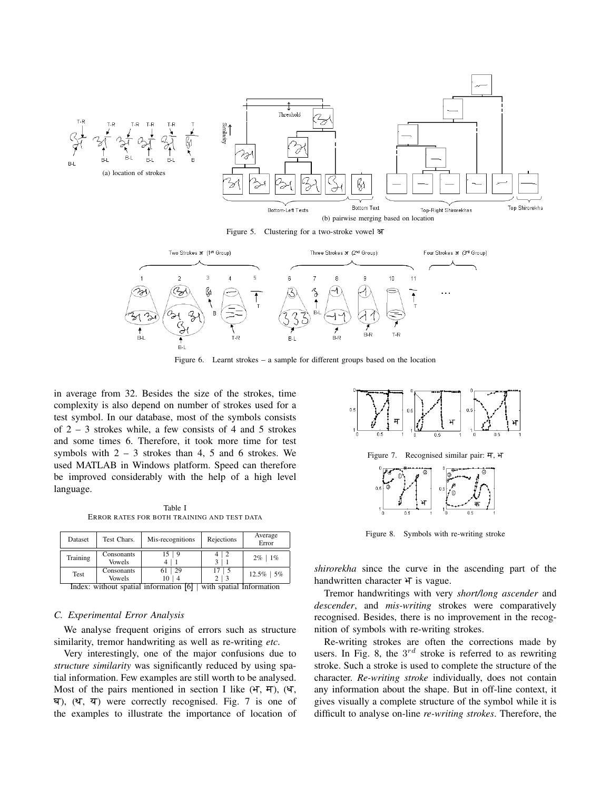

Figure 5. Clustering for a two-stroke vowel a



Figure 6. Learnt strokes – a sample for different groups based on the location

in average from 32. Besides the size of the strokes, time complexity is also depend on number of strokes used for a test symbol. In our database, most of the symbols consists of  $2 - 3$  strokes while, a few consists of 4 and 5 strokes and some times 6. Therefore, it took more time for test symbols with  $2 - 3$  strokes than 4, 5 and 6 strokes. We used MATLAB in Windows platform. Speed can therefore be improved considerably with the help of a high level language.

Table I ERROR RATES FOR BOTH TRAINING AND TEST DATA

| Dataset  | Test Chars.                 | Mis-recognitions | Rejections | Average<br>Error |
|----------|-----------------------------|------------------|------------|------------------|
| Training | Consonants<br><b>Vowels</b> |                  |            | $2\%$   1%       |
| Test     | Consonants<br><b>Vowels</b> | 29<br>10         |            | 12.5%<br>15%     |

Index: without spatial information [6] | with spatial Information

#### *C. Experimental Error Analysis*

We analyse frequent origins of errors such as structure similarity, tremor handwriting as well as re-writing *etc*.

Very interestingly, one of the major confusions due to *structure similarity* was significantly reduced by using spatial information. Few examples are still worth to be analysed. Most of the pairs mentioned in section I like  $(H, H)$ ,  $(H, H)$  $\overline{q}$ ),  $(\overline{q}, \overline{q})$  were correctly recognised. Fig. 7 is one of the examples to illustrate the importance of location of



Figure 7. Recognised similar pair: म, भ



Figure 8. Symbols with re-writing stroke

*shirorekha* since the curve in the ascending part of the handwritten character  $H$  is vague.

Tremor handwritings with very *short/long ascender* and *descender*, and *mis-writing* strokes were comparatively recognised. Besides, there is no improvement in the recognition of symbols with re-writing strokes.

Re-writing strokes are often the corrections made by users. In Fig. 8, the  $3^{rd}$  stroke is referred to as rewriting stroke. Such a stroke is used to complete the structure of the character. *Re-writing stroke* individually, does not contain any information about the shape. But in off-line context, it gives visually a complete structure of the symbol while it is difficult to analyse on-line *re-writing strokes*. Therefore, the